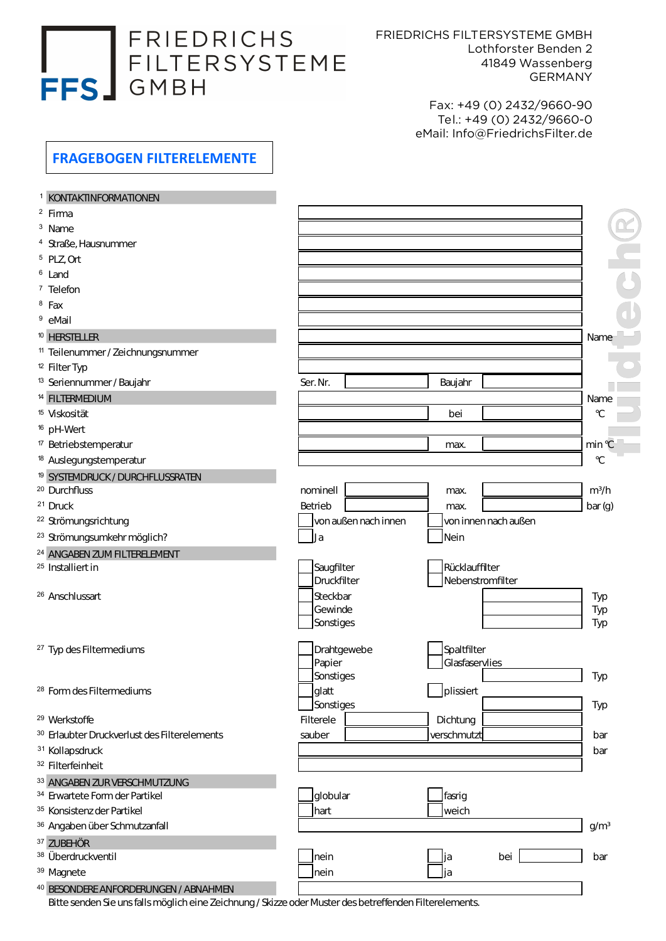## FRIEDRICHS FRESS GUBH

FRIEDRICHS FILTERSYSTEME GMBH Lothforster Benden 2 41849 Wassenberg GERMANY

> Fax: +49 (0) 2432/9660-90 Tel.: +49 (0) 2432/9660-0 eMail: Info@FriedrichsFilter.de

## FRAGEBOGEN FILTERELEMENTE

| <b>KONTAKTINFORMATIONEN</b>                                                                             |                      |                      |                  |
|---------------------------------------------------------------------------------------------------------|----------------------|----------------------|------------------|
| <sup>2</sup> Firma                                                                                      |                      |                      |                  |
| <sup>3</sup> Name                                                                                       |                      |                      |                  |
| <sup>4</sup> Straße, Hausnummer                                                                         |                      |                      |                  |
| $5$ PLZ, Ort                                                                                            |                      |                      |                  |
| <sup>6</sup> Land                                                                                       |                      |                      |                  |
| <sup>7</sup> Telefon                                                                                    |                      |                      |                  |
| $8$ Fax                                                                                                 |                      |                      |                  |
| <sup>9</sup> eMail                                                                                      |                      |                      |                  |
| <sup>10</sup> HERSTELLER                                                                                |                      |                      | Name             |
| <sup>11</sup> Teilenummer / Zeichnungsnummer                                                            |                      |                      |                  |
| <sup>12</sup> Filter Typ                                                                                |                      |                      |                  |
| <sup>13</sup> Seriennummer / Baujahr                                                                    | Ser. Nr.             | Baujahr              |                  |
| <sup>14</sup> FILTERMEDIUM                                                                              |                      |                      | Name             |
| <sup>15</sup> Viskosität                                                                                |                      | bei                  | $\mathcal{C}$    |
| <sup>16</sup> pH-Wert                                                                                   |                      |                      |                  |
| <sup>17</sup> Betriebstemperatur                                                                        |                      | max.                 | min °C           |
| <sup>18</sup> Auslegungstemperatur                                                                      |                      |                      | $\mathcal{C}$    |
| <sup>19</sup> SYSTEMDRUCK/DURCHFLUSSRATEN                                                               |                      |                      |                  |
| <sup>20</sup> Durchfluss                                                                                | nominell             | max.                 | $m^3/h$          |
| <sup>21</sup> Druck                                                                                     | Betrieb              | max.                 | bar(g)           |
| <sup>22</sup> Strömungsrichtung                                                                         | von außen nach innen | von innen nach außen |                  |
| <sup>23</sup> Strömungsumkehr möglich?                                                                  | $\Box$ ] a           | Nein                 |                  |
| <sup>24</sup> ANGABEN ZUM FILTERELEMENT                                                                 |                      |                      |                  |
| <sup>25</sup> Installiert in                                                                            | Saugfilter           | Rücklauffilter       |                  |
|                                                                                                         | Druckfilter          | Nebenstromfilter     |                  |
| <sup>26</sup> Anschlussart                                                                              | Steckbar             |                      | Typ              |
|                                                                                                         | Gewinde              |                      | Typ              |
|                                                                                                         | Sonstiges            |                      | Typ              |
| <sup>27</sup> Typ des Filtermediums                                                                     | Drahtgewebe          | Spaltfilter          |                  |
|                                                                                                         | Papier               | Glasfaservlies       |                  |
|                                                                                                         | Sonstiges            |                      | Typ              |
| <sup>28</sup> Form des Filtermediums                                                                    | glatt                | plissiert            |                  |
|                                                                                                         | Sonstiges            |                      | Typ              |
| <sup>29</sup> Werkstoffe                                                                                | Filterele            | Dichtung             |                  |
| <sup>30</sup> Erlaubter Druckverlust des Filterelements                                                 | sauber               | verschmutzt          | bar              |
| <sup>31</sup> Kollapsdruck                                                                              |                      |                      | bar              |
| <sup>32</sup> Filterfeinheit                                                                            |                      |                      |                  |
| 33 ANGABEN ZUR VERSCHMUTZUNG                                                                            |                      |                      |                  |
| <sup>34</sup> Erwartete Form der Partikel                                                               | globular             | fasrig               |                  |
| <sup>35</sup> Konsistenz der Partikel                                                                   | hart                 | weich                |                  |
| 36 Angaben über Schmutzanfall                                                                           |                      |                      | g/m <sup>3</sup> |
| 37 ZUBEHÖR                                                                                              |                      |                      |                  |
| <sup>38</sup> Überdruckventil                                                                           | nein                 | bei<br>Jja           | bar              |
| <sup>39</sup> Magnete                                                                                   | nein                 | _Jja                 |                  |
| 40 BESONDERE ANFORDERUNGEN / ABNAHMEN                                                                   |                      |                      |                  |
| Bitte senden Sie uns falls möglich eine Zeichnung / Skizze oder Muster des betreffenden Filterelements. |                      |                      |                  |